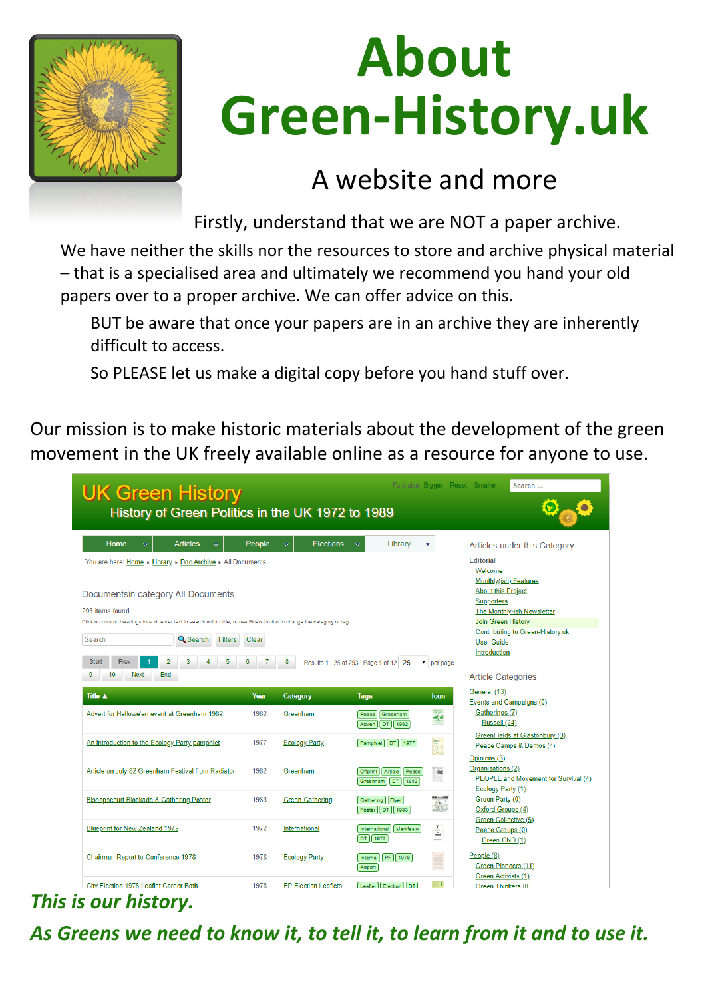

## **About Green-History.uk**

#### A website and more

Firstly, understand that we are NOT a paper archive.

We have neither the skills nor the resources to store and archive physical material – that is a specialised area and ultimately we recommend you hand your old papers over to a proper archive. We can offer advice on this.

BUT be aware that once your papers are in an archive they are inherently difficult to access.

So PLEASE let us make a digital copy before you hand stuff over.

Our mission is to make historic materials about the development of the green movement in the UK freely available online as a resource for anyone to use.



|  |                                                    |      |                             |                            |                                                                                                                                                                                                                                                                                                                                                                                                                                                                                 | Opinions(3)                          |
|--|----------------------------------------------------|------|-----------------------------|----------------------------|---------------------------------------------------------------------------------------------------------------------------------------------------------------------------------------------------------------------------------------------------------------------------------------------------------------------------------------------------------------------------------------------------------------------------------------------------------------------------------|--------------------------------------|
|  | Article on July 82 Greenham Festival from Radiator | 1982 | Greenham                    | Offprint   Article   Peace | <b>TANK</b>                                                                                                                                                                                                                                                                                                                                                                                                                                                                     | Organisations (2)                    |
|  |                                                    |      |                             | Greenham   DT   1982       | 32                                                                                                                                                                                                                                                                                                                                                                                                                                                                              | PEOPLE and Movement for Survival (4) |
|  |                                                    |      |                             |                            |                                                                                                                                                                                                                                                                                                                                                                                                                                                                                 | <b>Ecology Party (1)</b>             |
|  | Bishopscourt Blockade & Gathering Poster           | 1983 | Green Gathering             | Gathering   Flyer          | t.                                                                                                                                                                                                                                                                                                                                                                                                                                                                              | Green Party (0)                      |
|  |                                                    |      |                             | Poster   DT   1983         |                                                                                                                                                                                                                                                                                                                                                                                                                                                                                 | Oxford Groups (4)                    |
|  | <b>Blueprint for New Zealand 1972</b>              | 1972 | International               | International   Manifesto  |                                                                                                                                                                                                                                                                                                                                                                                                                                                                                 | Green Collective (5)                 |
|  |                                                    |      |                             | $DT$ 1972                  | Ξ<br>$\frac{1}{2} \left( \frac{1}{2} \right) \left( \frac{1}{2} \right) \left( \frac{1}{2} \right) \left( \frac{1}{2} \right) \left( \frac{1}{2} \right) \left( \frac{1}{2} \right) \left( \frac{1}{2} \right) \left( \frac{1}{2} \right) \left( \frac{1}{2} \right) \left( \frac{1}{2} \right) \left( \frac{1}{2} \right) \left( \frac{1}{2} \right) \left( \frac{1}{2} \right) \left( \frac{1}{2} \right) \left( \frac{1}{2} \right) \left( \frac{1}{2} \right) \left( \frac$ | Peace Groups (0)                     |
|  |                                                    |      |                             |                            |                                                                                                                                                                                                                                                                                                                                                                                                                                                                                 | Green CND (1)                        |
|  | <b>Chairman Report to Conference 1978</b>          | 1978 | <b>Ecology Party</b>        | Internal PF 1978           | E.                                                                                                                                                                                                                                                                                                                                                                                                                                                                              | People $(8)$                         |
|  |                                                    |      |                             | Report                     | <b>Filmer</b>                                                                                                                                                                                                                                                                                                                                                                                                                                                                   | Green Pioneers (11)                  |
|  |                                                    |      |                             |                            |                                                                                                                                                                                                                                                                                                                                                                                                                                                                                 | Green Activists (1)                  |
|  | City Election 1978 Leaflet Carder Bath             | 1978 | <b>EP Election Leaflets</b> | Leaflet Election DT        | NO.                                                                                                                                                                                                                                                                                                                                                                                                                                                                             | Green Thinkers (0)                   |
|  |                                                    |      |                             |                            |                                                                                                                                                                                                                                                                                                                                                                                                                                                                                 |                                      |
|  | This is our history.                               |      |                             |                            |                                                                                                                                                                                                                                                                                                                                                                                                                                                                                 |                                      |

#### *As Greens we need to know it, to tell it, to learn from it and to use it.*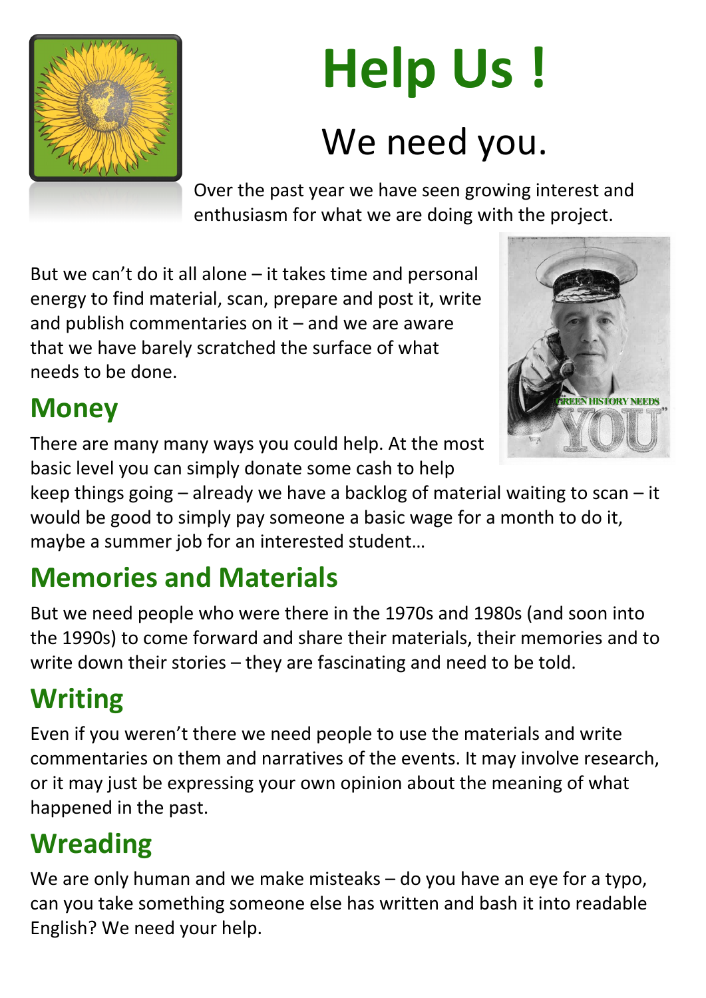

### **Help Us !** We need you.

Over the past year we have seen growing interest and enthusiasm for what we are doing with the project.

But we can't do it all alone – it takes time and personal energy to find material, scan, prepare and post it, write and publish commentaries on it  $-$  and we are aware that we have barely scratched the surface of what needs to be done.

### **Money**

There are many many ways you could help. At the most basic level you can simply donate some cash to help

keep things going – already we have a backlog of material waiting to scan – it would be good to simply pay someone a basic wage for a month to do it, maybe a summer job for an interested student…

We are only human and we make misteaks – do you have an eye for a typo, can you take something someone else has written and bash it into readable English? We need your help.

### **Memories and Materials**

But we need people who were there in the 1970s and 1980s (and soon into the 1990s) to come forward and share their materials, their memories and to write down their stories – they are fascinating and need to be told.

#### **Writing**

Even if you weren't there we need people to use the materials and write commentaries on them and narratives of the events. It may involve research, or it may just be expressing your own opinion about the meaning of what happened in the past.

#### **Wreading**